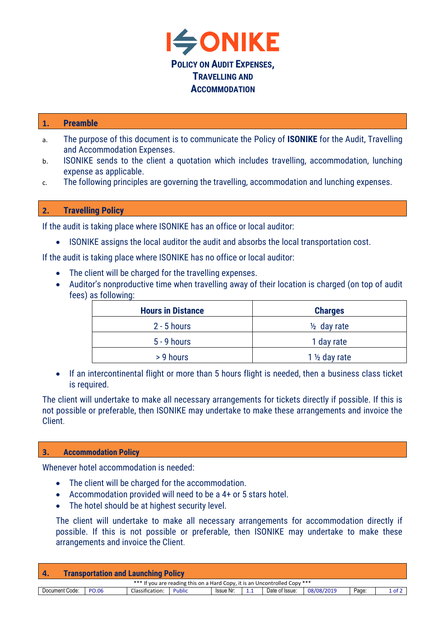

## **1. Preamble**

- a. The purpose of this document is to communicate the Policy of **ISONIKE** for the Audit, Travelling and Accommodation Expenses.
- b. ISONIKE sends to the client a quotation which includes travelling, accommodation, lunching expense as applicable.
- c. The following principles are governing the travelling, accommodation and lunching expenses.

## **2. Travelling Policy**

If the audit is taking place where ISONIKE has an office or local auditor:

• ISONIKE assigns the local auditor the audit and absorbs the local transportation cost.

If the audit is taking place where ISONIKE has no office or local auditor:

- The client will be charged for the travelling expenses.
- Auditor's nonproductive time when travelling away of their location is charged (on top of audit fees) as following:

| <b>Hours in Distance</b> | <b>Charges</b>           |  |  |  |
|--------------------------|--------------------------|--|--|--|
| $2 - 5$ hours            | $\frac{1}{2}$ day rate   |  |  |  |
| $5 - 9$ hours            | 1 day rate               |  |  |  |
| > 9 hours                | 1 $\frac{1}{2}$ day rate |  |  |  |

• If an intercontinental flight or more than 5 hours flight is needed, then a business class ticket is required.

The client will undertake to make all necessary arrangements for tickets directly if possible. If this is not possible or preferable, then ISONIKE may undertake to make these arrangements and invoice the Client.

## **3. Accommodation Policy**

Whenever hotel accommodation is needed:

- The client will be charged for the accommodation.
- Accommodation provided will need to be a 4+ or 5 stars hotel.
- The hotel should be at highest security level.

The client will undertake to make all necessary arrangements for accommodation directly if possible. If this is not possible or preferable, then ISONIKE may undertake to make these arrangements and invoice the Client.

| <b>Transportation and Launching Policy</b><br><b>4</b>                     |       |                 |               |           |     |                |            |       |        |  |
|----------------------------------------------------------------------------|-------|-----------------|---------------|-----------|-----|----------------|------------|-------|--------|--|
| *** If you are reading this on a Hard Copy, it is an Uncontrolled Copy *** |       |                 |               |           |     |                |            |       |        |  |
| Document Code:                                                             | PO.06 | Classification: | <b>Public</b> | Issue Nr: | 1.1 | Date of Issue: | 08/08/2019 | Page: | 1 of 2 |  |
|                                                                            |       |                 |               |           |     |                |            |       |        |  |